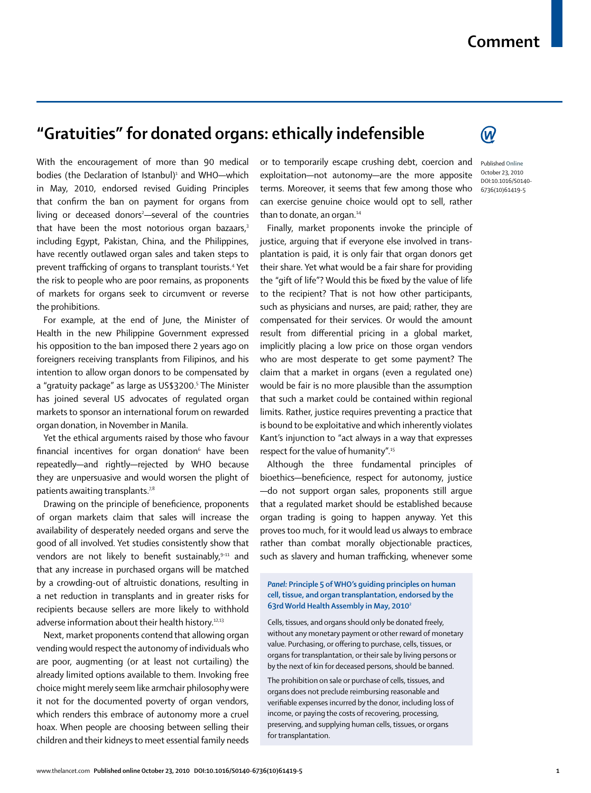## **Comment**

## **"Gratuities" for donated organs: ethically indefensible**

With the encouragement of more than 90 medical bodies (the Declaration of Istanbul) $^{\scriptscriptstyle 1}$  and WHO—which in May, 2010, endorsed revised Guiding Principles that confirm the ban on payment for organs from living or deceased donors<sup>2</sup>—several of the countries that have been the most notorious organ bazaars, $3$ including Egypt, Pakistan, China, and the Philippines, have recently outlawed organ sales and taken steps to prevent trafficking of organs to transplant tourists.<sup>4</sup> Yet the risk to people who are poor remains, as proponents of markets for organs seek to circumvent or reverse the prohibitions.

For example, at the end of June, the Minister of Health in the new Philippine Government expressed his opposition to the ban imposed there 2 years ago on foreigners receiving transplants from Filipinos, and his intention to allow organ donors to be compensated by a "gratuity package" as large as US\$3200.5 The Minister has joined several US advocates of regulated organ markets to sponsor an international forum on rewarded organ donation, in November in Manila.

Yet the ethical arguments raised by those who favour financial incentives for organ donation $^{\rm 6}$  have been repeatedly—and rightly—rejected by WHO because they are unpersuasive and would worsen the plight of patients awaiting transplants.<sup>7,8</sup>

Drawing on the principle of beneficience, proponents of organ markets claim that sales will increase the availability of desperately needed organs and serve the good of all involved. Yet studies consistently show that vendors are not likely to benefit sustainably,<sup>9-11</sup> and that any increase in purchased organs will be matched by a crowding-out of altruistic donations, resulting in a net reduction in transplants and in greater risks for recipients because sellers are more likely to withhold adverse information about their health history.<sup>12,13</sup>

Next, market proponents contend that allowing organ vending would respect the autonomy of individuals who are poor, augmenting (or at least not curtailing) the already limited options available to them. Invoking free choice might merely seem like armchair philosophy were it not for the documented poverty of organ vendors, which renders this embrace of autonomy more a cruel hoax. When people are choosing between selling their children and their kidneys to meet essential family needs or to temporarily escape crushing debt, coercion and exploitation—not autonomy—are the more apposite terms. Moreover, it seems that few among those who can exercise genuine choice would opt to sell, rather than to donate, an organ.<sup>14</sup>

Finally, market proponents invoke the principle of justice, arguing that if everyone else involved in transplantation is paid, it is only fair that organ donors get their share. Yet what would be a fair share for providing the "gift of life"? Would this be fixed by the value of life to the recipient? That is not how other participants, such as physicians and nurses, are paid; rather, they are compensated for their services. Or would the amount result from differential pricing in a global market, implicitly placing a low price on those organ vendors who are most desperate to get some payment? The claim that a market in organs (even a regulated one) would be fair is no more plausible than the assumption that such a market could be contained within regional limits. Rather, justice requires preventing a practice that is bound to be exploitative and which inherently violates Kant's injunction to "act always in a way that expresses respect for the value of humanity".15

Although the three fundamental principles of bioethics-beneficience, respect for autonomy, justice —do not support organ sales, proponents still argue that a regulated market should be established because organ trading is going to happen anyway. Yet this proves too much, for it would lead us always to embrace rather than combat morally objectionable practices, such as slavery and human trafficking, whenever some

*Panel:* **Principle 5 of WHO's guiding principles on human cell, tissue, and organ transplantation, endorsed by the 63rd World Health Assembly in May, 20102**

Cells, tissues, and organs should only be donated freely, without any monetary payment or other reward of monetary value. Purchasing, or offering to purchase, cells, tissues, or organs for transplantation, or their sale by living persons or by the next of kin for deceased persons, should be banned.

The prohibition on sale or purchase of cells, tissues, and organs does not preclude reimbursing reasonable and verifiable expenses incurred by the donor, including loss of income, or paying the costs of recovering, processing, preserving, and supplying human cells, tissues, or organs for transplantation.



Published **Online** October 23, 2010 DOI:10.1016/S0140- 6736(10)61419-5